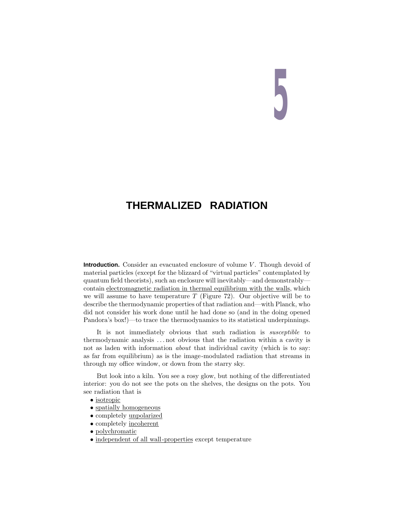# **5**

# **THERMALIZED RADIATION**

**Introduction.** Consider an evacuated enclosure of volume *V*. Though devoid of material particles (except for the blizzard of "virtual particles" contemplated by quantum field theorists), such an enclosure will inevitably—and demonstrably contain electromagnetic radiation in thermal equilibrium with the walls, which we will assume to have temperature  $T$  (Figure 72). Our objective will be to describe the thermodynamic properties of that radiation and—with Planck, who did not consider his work done until he had done so (and in the doing opened Pandora's box!)—to trace the thermodynamics to its statistical underpinnings.

It is not immediately obvious that such radiation is susceptible to thermodynamic analysis *...* not obvious that the radiation within a cavity is not as laden with information *about* that individual cavity (which is to say: as far from equilibrium) as is the image-modulated radiation that streams in through my office window, or down from the starry sky.

But look into a kiln. You see a rosy glow, but nothing of the differentiated interior: you do not see the pots on the shelves, the designs on the pots. You see radiation that is

- isotropic
- spatially homogeneous
- completely unpolarized
- completely incoherent
- polychromatic
- independent of all wall-properties except temperature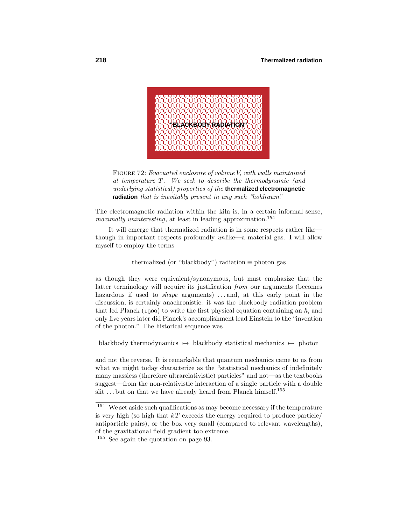

Figure 72: Evacuated enclosure of volume *V*, with walls maintained at temperature *T*. We seek to describe the thermodynamic (and underlying statistical) properties of the **thermalized electromagnetic radiation** that is inevitably present in any such "hohlraum."

The electromagnetic radiation within the kiln is, in a certain informal sense, maximally uninteresting, at least in leading approximation.<sup>154</sup>

It will emerge that thermalized radiation is in some respects rather like though in important respects profoundly unlike—a material gas. I will allow myself to employ the terms

### thermalized (or "blackbody") radiation  $\equiv$  photon gas

as though they were equivalent/synonymous, but must emphasize that the latter terminology will acquire its justification from our arguments (becomes hazardous if used to *shape* arguments) ...and, at this early point in the discussion, is certainly anachronistic: it was the blackbody radiation problem that led Planck (1900) to write the first physical equation containing an  $\hbar$ , and only five years later did Planck's accomplishment lead Einstein to the "invention of the photon." The historical sequence was

blackbody thermodynamics  $\mapsto$  blackbody statistical mechanics  $\mapsto$  photon

and not the reverse. It is remarkable that quantum mechanics came to us from what we might today characterize as the "statistical mechanics of indefinitely many massless (therefore ultrarelativistic) particles" and not—as the textbooks suggest—from the non-relativistic interaction of a single particle with a double slit ...but on that we have already heard from Planck himself.<sup>155</sup>

<sup>154</sup> We set aside such qualifications as may become necessary if the temperature is very high (so high that  $kT$  exceeds the energy required to produce particle/ antiparticle pairs), or the box very small (compared to relevant wavelengths), of the gravitational field gradient too extreme.

<sup>155</sup> See again the quotation on page 93.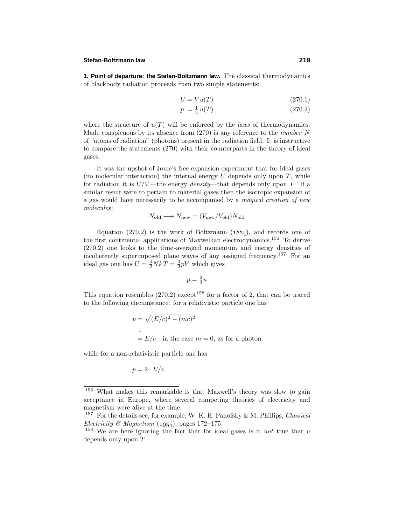### **Stefan-Boltzmann law 219**

**1. Point of departure: the Stefan-Boltzmann law.** The classical thermodynamics of blackbody radiation proceeds from two simple statements:

$$
U = Vu(T) \tag{270.1}
$$

$$
p = \frac{1}{3}u(T) \tag{270.2}
$$

where the structure of  $u(T)$  will be enforced by the *laws* of thermodynamics. Made conspicuous by its absence from  $(270)$  is any reference to the *number* N of "atoms of radiation" (photons) present in the radiation field. It is instructive to compare the statements (270) with their counterparts in the theory of ideal gases:

It was the upshot of Joule's free expansion experiment that for ideal gases (no molecular interaction) the internal energy  $U$  depends only upon  $T$ , while for radiation it is  $U/V$ —the energy *density*—that depends only upon *T*. If a similar result were to pertain to material gases then the isotropic expansion of a gas would have necessarily to be accompanied by a magical creation of new molecules:

$$
N_{\rm old} \longmapsto N_{\rm new} = (V_{\rm new}/V_{\rm old})N_{\rm old}
$$

Equation  $(270.2)$  is the work of Boltzmann  $(1884)$ , and records one of the first continental applications of Maxwellian electrodynamics.<sup>156</sup> To derive  $(270.2)$  one looks to the time-averaged momentum and energy densities of incoherently superimposed plane waves of any assigned frequency.<sup>157</sup> For an ideal gas one has  $U = \frac{3}{2} NkT = \frac{3}{2} pV$  which gives

$$
p = \frac{2}{3}u
$$

This equation resembles  $(270.2)$  except<sup>158</sup> for a factor of 2, that can be traced to the following circumstance: for a relativistic particle one has

$$
p = \sqrt{(E/c)^2 - (mc)^2}
$$
  
\n
$$
\downarrow
$$
  
\n= E/c in the case  $m = 0$ , as for a photon

while for a non-relativistic particle one has

$$
p=2\cdot E/v
$$

<sup>156</sup> What makes this remarkable is that Maxwell's theory was slow to gain acceptance in Europe, where several competing theories of electricity and magnetism were alive at the time.

<sup>&</sup>lt;sup>157</sup> For the details see, for example, W. K. H. Panofsky & M. Phillips, *Classical* Electricity & Magnetism  $(1955)$ , pages 172–175.

<sup>158</sup> We are here ignoring the fact that for ideal gases is it not true that *u* depends only upon *T*.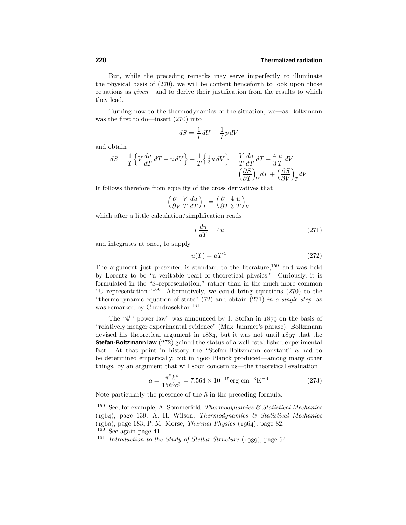But, while the preceding remarks may serve imperfectly to illuminate the physical basis of (270), we will be content henceforth to look upon those equations as given—and to derive their justification from the results to which they lead.

Turning now to the thermodynamics of the situation, we—as Boltzmann was the first to do—insert  $(270)$  into

$$
dS=\frac{1}{T}dU+\frac{1}{T}p\,dV
$$

and obtain

$$
dS = \frac{1}{T} \Big\{ V \frac{du}{dT} dT + u dV \Big\} + \frac{1}{T} \Big\{ \frac{1}{3} u dV \Big\} = \frac{V}{T} \frac{du}{dT} dT + \frac{4}{3} \frac{u}{T} dV
$$
  

$$
= \left( \frac{\partial S}{\partial T} \right)_V dT + \left( \frac{\partial S}{\partial V} \right)_T dV
$$

It follows therefore from equality of the cross derivatives that

$$
\left(\frac{\partial}{\partial V}\frac{V}{T}\frac{du}{dT}\right)_T = \left(\frac{\partial}{\partial T}\frac{4}{3}\frac{u}{T}\right)_V
$$

which after a little calculation/simplification reads

$$
T\frac{du}{dT} = 4u\tag{271}
$$

and integrates at once, to supply

$$
u(T) = aT^4 \tag{272}
$$

The argument just presented is standard to the literature,<sup>159</sup> and was held by Lorentz to be "a veritable pearl of theoretical physics." Curiously, it is formulated in the "S-representation," rather than in the much more common "U-representation."<sup>160</sup> Alternatively, we could bring equations  $(270)$  to the "thermodynamic equation of state" (72) and obtain (271) in a single step, as was remarked by Chandrasekhar.<sup>161</sup>

The "4<sup>th</sup> power law" was announced by J. Stefan in  $1879$  on the basis of "relatively meager experimental evidence" (Max Jammer's phrase). Boltzmann devised his theoretical argument in  $1884$ , but it was not until  $1897$  that the **Stefan-Boltzmann law** (272) gained the status of a well-established experimental fact. At that point in history the "Stefan-Boltzmann constant" *a* had to be determined emperically, but in 1900 Planck produced—among many other things, by an argument that will soon concern us—the theoretical evaluation

$$
a = \frac{\pi^2 k^4}{15\hbar^3 c^3} = 7.564 \times 10^{-15} \text{erg cm}^{-3} \text{K}^{-4}
$$
 (273)

Note particularly the presence of the  $\hbar$  in the preceding formula.

<sup>&</sup>lt;sup>159</sup> See, for example, A. Sommerfeld, *Thermodynamics*  $\mathcal{C}$  *Statistical Mechanics*  $(1964)$ , page 139; A. H. Wilson, Thermodynamics & Statistical Mechanics  $(1960)$ , page 183; P. M. Morse, *Thermal Physics*  $(1964)$ , page 82.

<sup>160</sup> See again page 41.

<sup>&</sup>lt;sup>161</sup> Introduction to the Study of Stellar Structure (1939), page 54.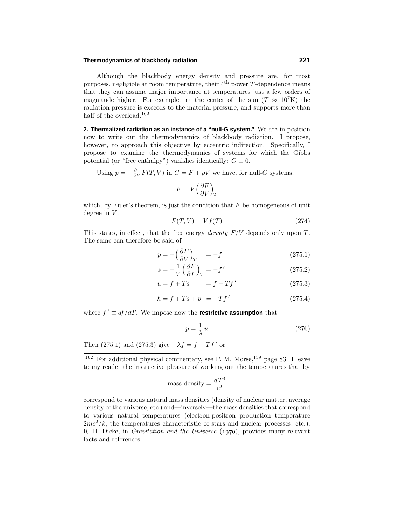### **Thermodynamics of blackbody radiation 221**

Although the blackbody energy density and pressure are, for most purposes, negligible at room temperature, their 4th power *T*-dependence means that they can assume major importance at temperatures just a few orders of magnitude higher. For example: at the center of the sun  $(T \approx 10^7 \text{K})$  the radiation pressure is exceeds to the material pressure, and supports more than half of the overload.<sup>162</sup>

**2. Thermalized radiation as an instance of a "null-G system."** We are in position now to write out the thermodynamics of blackbody radiation. I propose, however, to approach this objective by eccentric indirection. Specifically, I propose to examine the thermodynamics of systems for which the Gibbs potential (or "free enthalpy") vanishes identically:  $G \equiv 0$ .

Using  $p = -\frac{\partial}{\partial V}F(T, V)$  in  $G = F + pV$  we have, for null-*G* systems,

$$
F=V\Big(\frac{\partial F}{\partial V}\Big)_T
$$

which, by Euler's theorem, is just the condition that *F* be homogeneous of unit degree in *V* :

$$
F(T, V) = Vf(T) \tag{274}
$$

This states, in effect, that the free energy density *F/V* depends only upon *T*. The same can therefore be said of

$$
p = -\left(\frac{\partial F}{\partial V}\right)_T = -f \tag{275.1}
$$

$$
s = -\frac{1}{V} \left( \frac{\partial F}{\partial T} \right)_V = -f' \tag{275.2}
$$

$$
u = f + Ts \qquad \qquad = f - Tf' \tag{275.3}
$$

$$
h = f + Ts + p = -Tf'
$$
 (275.4)

where  $f' \equiv df/dT$ . We impose now the **restrictive assumption** that

$$
p = \frac{1}{\lambda}u\tag{276}
$$

Then (275.1) and (275.3) give  $-\lambda f = f - Tf'$  or

mass density = 
$$
\frac{aT^4}{c^2}
$$

correspond to various natural mass densities (density of nuclear matter, average density of the universe, etc.) and—inversely—the mass densities that correspond to various natural temperatures (electron-positron production temperature  $2mc^2/k$ , the temperatures characteristic of stars and nuclear processes, etc.). R. H. Dicke, in *Gravitation and the Universe*  $(1970)$ , provides many relevant facts and references.

 $162$  For additional physical commentary, see P. M. Morse,<sup>159</sup> page 83. I leave to my reader the instructive pleasure of working out the temperatures that by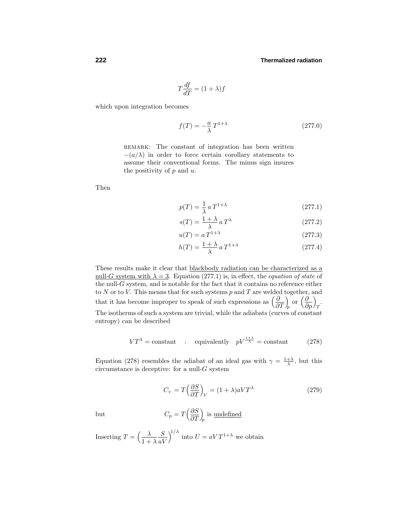$$
T\frac{df}{dT} = (1+\lambda)f
$$

which upon integration becomes

$$
f(T) = -\frac{a}{\lambda} T^{1+\lambda} \tag{277.0}
$$

REMARK: The constant of integration has been written  $-(a/\lambda)$  in order to force certain corollary statements to assume their conventional forms. The minus sign insures the positivity of *p* and *u*.

Then

$$
p(T) = \frac{1}{\lambda} a T^{1+\lambda} \tag{277.1}
$$

$$
s(T) = \frac{1+\lambda}{\lambda} a T^{\lambda} \tag{277.2}
$$

$$
u(T) = a T^{1+\lambda} \tag{277.3}
$$

$$
h(T) = \frac{1+\lambda}{\lambda} a T^{1+\lambda} \tag{277.4}
$$

These results make it clear that blackbody radiation can be characterized as a <u>null-*G*</u> system with  $\lambda = 3$ . Equation (277.1) is, in effect, the *equation of state* of the null- $G$  system, and is notable for the fact that it contains no reference either to *N* or to *V*. This means that for such systems *p* and *T* are welded together, and that it has become improper to speak of such expressions as  $\left(\frac{\partial}{\partial T}\right)$  *<sup>p</sup>* or *<sup>∂</sup> ∂p*  $\setminus$ *T* . The isotherms of such a system are trivial, while the adiabats (curves of constant entropy) can be described

$$
VT^{\lambda} = \text{constant} \quad : \quad \text{equivalently} \quad pV^{\frac{1+\lambda}{\lambda}} = \text{constant} \tag{278}
$$

Equation (278) resembles the adiabat of an ideal gas with  $\gamma = \frac{1+\lambda}{\lambda}$ , but this circumstance is deceptive: for a null-*G* system

$$
C_V = T \left(\frac{\partial S}{\partial T}\right)_V = (1 + \lambda)aV T^{\lambda} \tag{279}
$$

but 
$$
C_p = T \left(\frac{\partial S}{\partial T}\right)_p
$$
 is undefined

Inserting  $T = \left(\frac{\lambda}{1+r}\right)$  $1 + \lambda$ *S aV*  $\int_{0}^{1/\lambda}$  into  $U = aVT^{1+\lambda}$  we obtain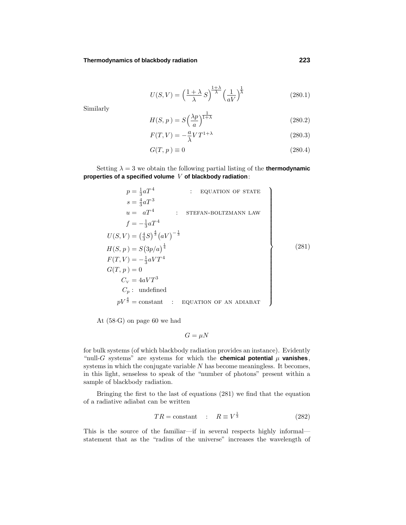### **Thermodynamics of blackbody radiation 223**

$$
U(S,V) = \left(\frac{1+\lambda}{\lambda}S\right)^{\frac{1+\lambda}{\lambda}} \left(\frac{1}{aV}\right)^{\frac{1}{\lambda}}
$$
(280.1)

Similarly

$$
H(S, p) = S\left(\frac{\lambda p}{a}\right)^{\frac{1}{1+\lambda}}
$$
\n(280.2)

$$
F(T,V) = -\frac{a}{\lambda} V T^{1+\lambda} \tag{280.3}
$$

$$
G(T, p) \equiv 0 \tag{280.4}
$$

Setting  $\lambda = 3$  we obtain the following partial listing of the **thermodynamic properties of a specified volume** *V* **of blackbody radiation**:

1

$$
p = \frac{1}{3}aT^{4}
$$
 : EQUATION OF STATE  
\n
$$
s = \frac{4}{3}aT^{3}
$$
  
\n
$$
u = aT^{4}
$$
 : STEFAN-BOLTZMANN LAW  
\n
$$
f = -\frac{1}{3}aT^{4}
$$
  
\n
$$
U(S, V) = (\frac{4}{3}S)^{\frac{4}{3}}(aV)^{-\frac{1}{3}}
$$
  
\n
$$
H(S, p) = S(3p/a)^{\frac{1}{4}}
$$
  
\n
$$
F(T, V) = -\frac{1}{3}aVT^{4}
$$
  
\n
$$
G(T, p) = 0
$$
  
\n
$$
C_{V} = 4aVT^{3}
$$
  
\n
$$
C_{p}: \text{ undefined}
$$
  
\n
$$
pV^{\frac{4}{3}} = \text{constant}
$$
 : EQUATION OF AN ADIABAT

At  $(58·G)$  on page 60 we had

$$
G = \mu N
$$

for bulk systems (of which blackbody radiation provides an instance). Evidently "null-*G* systems" are systems for which the **chemical potential**  $\mu$  **vanishes**, systems in which the conjugate variable *N* has become meaningless. It becomes, in this light, senseless to speak of the "number of photons" present within a sample of blackbody radiation.

Bringing the first to the last of equations  $(281)$  we find that the equation of a radiative adiabat can be written

$$
TR = \text{constant} \quad : \quad R \equiv V^{\frac{1}{3}} \tag{282}
$$

This is the source of the familiar—if in several respects highly informal statement that as the "radius of the universe" increases the wavelength of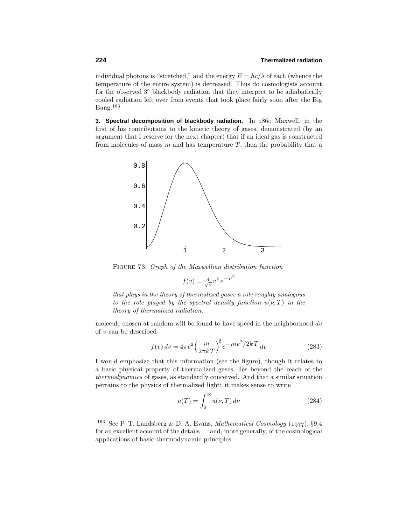individual photons is "stretched," and the energy  $E = hc/\lambda$  of each (whence the temperature of the entire system) is decreased. Thus do cosmologists account for the observed 3◦ blackbody radiation that they interpret to be adiabatically cooled radiation left over from events that took place fairly soon after the Big  $Bang.<sup>163</sup>$ 

**3. Spectral decomposition of blackbody radiation.** In 1860 Maxwell, in the first of his contributions to the kinetic theory of gases, demonstrated (by an argument that I reserve for the next chapter) that if an ideal gas is constructed from molecules of mass *m* and has temperature *T*, then the probability that a



Figure 73: Graph of the Maxwellian distribution function

$$
f(v) = \frac{4}{\sqrt{\pi}}v^2e^{-v^2}
$$

that plays in the theory of thermalized gases a role roughly analogous to the role played by the spectral density function  $u(\nu, T)$  in the theory of thermalized radiation.

molecule chosen at random will be found to have speed in the neighborhood *dv* of *v* can be described

$$
f(v) dv = 4\pi v^2 \left(\frac{m}{2\pi kT}\right)^{\frac{3}{2}} e^{-mv^2/2kT} dv
$$
 (283)

I would emphasize that this information (see the figure), though it relates to a basic physical property of thermalized gases, lies beyond the reach of the thermodynamics of gases, as standardly conceived. And that a similar situation pertains to the physics of thermalized light: it makes sense to write

$$
u(T) = \int_0^\infty u(\nu, T) d\nu \tag{284}
$$

<sup>&</sup>lt;sup>163</sup> See P. T. Landsberg & D. A. Evans, *Mathematical Cosmology* (1977),  $\S 9.4$ for an excellent account of the details *...* and, more generally, of the cosmological applications of basic thermodynamic principles.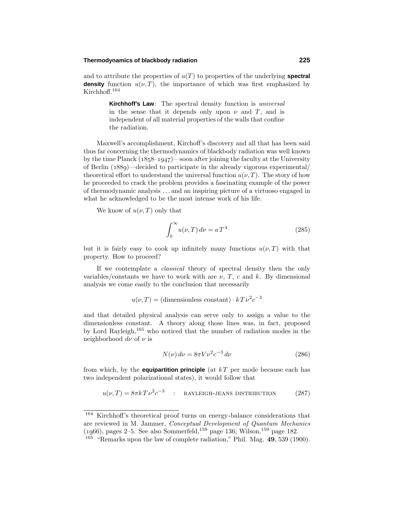### **Thermodynamics of blackbody radiation 225**

and to attribute the properties of  $u(T)$  to properties of the underlying **spectral density** function  $u(\nu, T)$ , the importance of which was first emphasized by Kirchhoff.<sup>164</sup>

> **Kirchhoff's Law**: The spectral density function is universal in the sense that it depends only upon  $\nu$  and  $T$ , and is independent of all material properties of the walls that confine the radiation.

Maxwell's accomplishment, Kirchoff's discovery and all that has been said thus far concerning the thermodynamics of blackbody radiation was well known by the time Planck  $(1858-1947)$ —soon after joining the faculty at the University of Berlin  $(1889)$ —decided to participate in the already vigorous experimental/ theoretical effort to understand the universal function  $u(\nu, T)$ . The story of how he proceeded to crack the problem provides a fascinating example of the power of thermodynamic analysis *...* and an inspiring picture of a virtuoso engaged in what he acknowledged to be the most intense work of his life.

We know of  $u(\nu, T)$  only that

$$
\int_0^\infty u(\nu, T) d\nu = aT^4 \tag{285}
$$

but it is fairly easy to cook up infinitely many functions  $u(\nu, T)$  with that property. How to proceed?

If we contemplate a classical theory of spectral density then the only variables/constants we have to work with are  $\nu$ , *T*, *c* and *k*. By dimensional analysis we come easily to the conclusion that necessarily

$$
u(\nu, T)
$$
 = (dimensionless constant)  $\cdot kT\nu^2c^{-3}$ 

and that detailed physical analysis can serve only to assign a value to the dimensionless constant. A theory along those lines was, in fact, proposed by Lord Rayleigh,<sup>165</sup> who noticed that the number of radiation modes in the neighborhood *dν* of *ν* is

$$
N(\nu) \, d\nu = 8\pi V \nu^2 c^{-3} \, d\nu \tag{286}
$$

from which, by the **equipartition principle** (at *k T* per mode because each has two independent polarizational states), it would follow that

$$
u(\nu, T) = 8\pi k T \nu^2 c^{-3} \quad : \quad \text{RAYLEIGH-JEANS DISTRIBUTION} \tag{287}
$$

<sup>164</sup> Kirchhoff's theoretical proof turns on energy-balance considerations that are reviewed in M. Jammer, Conceptual Development of Quantum Mechanics  $(1966)$ , pages 2–5. See also Sommerfeld,<sup>159</sup> page 136; Wilson,<sup>159</sup> page 182.

<sup>165</sup> "Remarks upon the law of complete radiation," Phil. Mag. **49**, 539 (1900).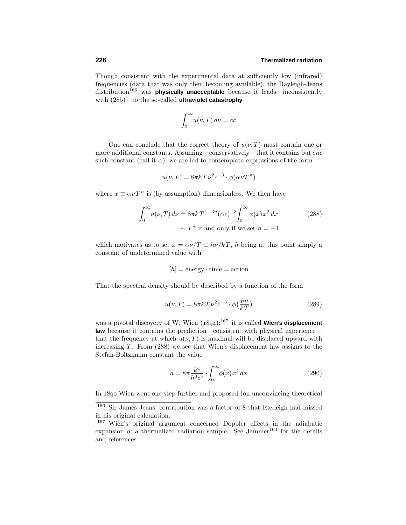Though consistent with the experimental data at sufficiently low (infrared) frequencies (data that was only then becoming available), the Rayleigh-Jeans distribution<sup>166</sup> was **physically unacceptable** because it leads—inconsistently with (285)—to the so-called **ultraviolet catastrophy**

$$
\int_0^\infty u(\nu, T) \, d\nu = \infty
$$

One can conclude that the correct theory of  $u(\nu, T)$  must contain one or more additional constants. Assuming—conservatively—that it contains but one such constant (call it  $\alpha$ ), we are led to contemplate expressions of the form

$$
u(\nu, T) = 8\pi k T \nu^2 c^{-3} \cdot \phi(\alpha \nu T^n)
$$

where  $x \equiv \alpha \nu T^n$  is (by assumption) dimensionless. We then have

$$
\int_0^\infty u(\nu, T) d\nu = 8\pi k T^{1-3n} (\alpha c)^{-3} \int_0^\infty \phi(x) x^2 dx
$$
\n
$$
\sim T^4 \text{ if and only if we set } n = -1
$$
\n(288)

which motivates us to set  $x = \alpha \nu / T \equiv h \nu / kT$ , *h* being at this point simply a constant of undetermined value with

$$
[h] = \text{energy} \cdot \text{time} = \text{action}
$$

That the spectral density should be described by a function of the form

$$
u(\nu, T) = 8\pi k T \nu^2 c^{-3} \cdot \phi\left(\frac{h\nu}{kT}\right)
$$
\n(289)

was a pivotal discovery of W. Wien  $(1894)$ :<sup>167</sup> it is called **Wien's displacement law** because it contains the prediction—consistent with physical experience that the frequency at which  $u(\nu, T)$  is maximal will be displaced upward with increasing  $T$ . From  $(288)$  we see that Wien's displacement law assigns to the Stefan-Boltzmann constant the value

$$
a = 8\pi \frac{k^4}{h^3 c^3} \cdot \int_0^\infty \phi(x) x^2 dx
$$
 (290)

In 1890 Wien went one step further and proposed (on unconvincing theoretical

<sup>166</sup> Sir James Jeans' contribution was a factor of 8 that Rayleigh had missed in his original calculation.

<sup>167</sup> Wien's original argument concerned Doppler effects in the adiabatic expansion of a thermalized radiation sample. See Jammer<sup>164</sup> for the details and references.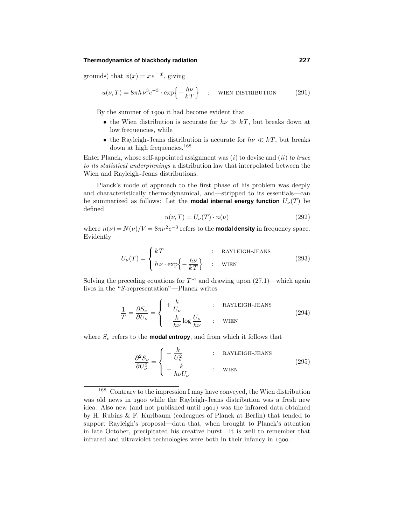### **Thermodynamics of blackbody radiation 227**

grounds) that  $\phi(x) = xe^{-x}$ , giving

$$
u(\nu, T) = 8\pi h \nu^3 c^{-3} \cdot \exp\left\{-\frac{h\nu}{kT}\right\} \quad : \quad \text{When distribution} \tag{291}
$$

By the summer of 1900 it had become evident that

- the Wien distribution is accurate for  $h\nu \gg kT$ , but breaks down at low frequencies, while
- the Rayleigh-Jeans distribution is accurate for  $h\nu \ll kT$ , but breaks down at high frequencies.<sup>168</sup>

Enter Planck, whose self-appointed assignment was  $(i)$  to devise and  $(ii)$  to trace to its statistical underpinnings a distribution law that interpolated between the Wien and Rayleigh-Jeans distributions.

Planck's mode of approach to the first phase of his problem was deeply and characteristically thermodynamical, and—stripped to its essentials—can be summarized as follows: Let the **modal internal energy function**  $U_{\nu}(T)$  be defined

$$
u(\nu, T) = U_{\nu}(T) \cdot n(\nu) \tag{292}
$$

where  $n(\nu) = N(\nu)/V = 8\pi\nu^2c^{-3}$  refers to the **modal density** in frequency space. Evidently

$$
U_{\nu}(T) = \begin{cases} kT & : \text{RAYLEIGH-JEANS} \\ h\nu \cdot \exp\left\{-\frac{h\nu}{kT}\right\} & : \text{WIENT} \end{cases}
$$
 (293)

Solving the preceding equations for  $T^{-1}$  and drawing upon  $(27.1)$ —which again lives in the "*S*-representation"—Planck writes

$$
\frac{1}{T} = \frac{\partial S_{\nu}}{\partial U_{\nu}} = \begin{cases}\n+ \frac{k}{U_{\nu}} & : \text{RAYLEIGH-JEANS} \\
- \frac{k}{h\nu} \log \frac{U_{\nu}}{h\nu} & : \text{WIEN}\n\end{cases}
$$
\n(294)

where  $S_\nu$  refers to the **modal entropy**, and from which it follows that

$$
\frac{\partial^2 S_{\nu}}{\partial U_{\nu}^2} = \begin{cases}\n-\frac{k}{U_{\nu}^2} & : \text{RAYLEIGH-JEANS} \\
-\frac{k}{h\nu U_{\nu}} & : \text{WIENT}\n\end{cases}
$$
\n(295)

<sup>168</sup> Contrary to the impression I may have conveyed, the Wien distribution was old news in 1900 while the Rayleigh-Jeans distribution was a fresh new idea. Also new (and not published until 1901) was the infrared data obtained by H. Rubins  $&$  F. Kurlbaum (colleagues of Planck at Berlin) that tended to support Rayleigh's proposal—data that, when brought to Planck's attention in late October, precipitated his creative burst. It is well to remember that infrared and ultraviolet technologies were both in their infancy in 1900.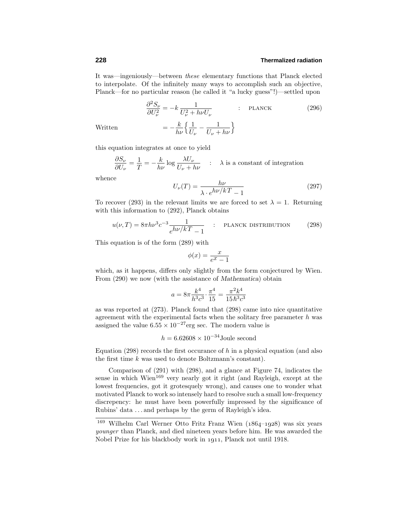It was—ingeniously—between these elementary functions that Planck elected to interpolate. Of the infinitely many ways to accomplish such an objective, Planck—for no particular reason (he called it "a lucky guess"!)—settled upon

$$
\frac{\partial^2 S_{\nu}}{\partial U_{\nu}^2} = -k \frac{1}{U_{\nu}^2 + h\nu U_{\nu}} \qquad : \text{PLANCE} \tag{296}
$$

Written

$$
=-\frac{k}{h\nu}\Big\{\frac{1}{U_{\nu}}-\frac{1}{U_{\nu}+h\nu}\Big\}
$$

this equation integrates at once to yield

$$
\frac{\partial S_{\nu}}{\partial U_{\nu}} = \frac{1}{T} = -\frac{k}{h\nu} \log \frac{\lambda U_{\nu}}{U_{\nu} + h\nu} \quad : \quad \lambda \text{ is a constant of integration}
$$

whence

$$
U_{\nu}(T) = \frac{h\nu}{\lambda \cdot e^{h\nu/kT} - 1} \tag{297}
$$

To recover (293) in the relevant limits we are forced to set  $\lambda = 1$ . Returning with this information to (292), Planck obtains

$$
u(\nu, T) = 8\pi h\nu^3 c^{-3} \frac{1}{e^{h\nu/kT} - 1} \qquad : \qquad \text{PLANCK DISTRIBUTION} \tag{298}
$$

This equation is of the form  $(289)$  with

$$
\phi(x) = \frac{x}{e^x - 1}
$$

which, as it happens, differs only slightly from the form conjectured by Wien. From  $(290)$  we now (with the assistance of *Mathematica*) obtain

$$
a=8\pi\frac{k^4}{h^3c^3}\cdot\frac{\pi^4}{15}=\frac{\pi^2k^4}{15\,\hbar^3c^3}
$$

as was reported at (273). Planck found that (298) came into nice quantitative agreement with the experimental facts when the solitary free parameter *h* was assigned the value  $6.55 \times 10^{-27}$  erg sec. The modern value is

$$
h = 6.62608 \times 10^{-34}
$$
 Joule second

Equation  $(298)$  records the first occurance of *h* in a physical equation (and also the first time *k* was used to denote Boltzmann's constant).

Comparison of  $(291)$  with  $(298)$ , and a glance at Figure 74, indicates the sense in which Wien<sup>169</sup> very nearly got it right (and Rayleigh, except at the lowest frequencies, got it grotesquely wrong), and causes one to wonder what motivated Planck to work so intensely hard to resolve such a small low-frequency discrepency: he must have been powerfully impressed by the significance of Rubins' data *...* and perhaps by the germ of Rayleigh's idea.

 $169$  Wilhelm Carl Werner Otto Fritz Franz Wien ( $1864-1928$ ) was six years younger than Planck, and died nineteen years before him. He was awarded the Nobel Prize for his blackbody work in 1911, Planck not until 1918.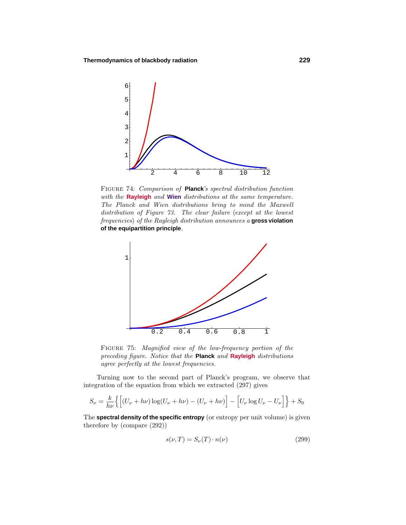

Figure 74: Comparison of **Planck**'s spectral distribution function with the **Rayleigh** and **Wien** distributions at the same temperature. The Planck and Wien distributions bring to mind the Maxwell distribution of Figure 73. The clear failure (except at the lowest frequencies) of the Rayleigh distribution announces a **gross violation of the equipartition principle**.



FIGURE 75: Magnified view of the low-frequency portion of the preceding figure. Notice that the **Planck** and **Rayleigh** distributions agree perfectly at the lowest frequencies.

Turning now to the second part of Planck's program, we observe that integration of the equation from which we extracted  $(297)$  gives

$$
S_{\nu} = \frac{k}{h\nu} \left\{ \left[ (U_{\nu} + h\nu) \log(U_{\nu} + h\nu) - (U_{\nu} + h\nu) \right] - \left[ U_{\nu} \log U_{\nu} - U_{\nu} \right] \right\} + S_0
$$

The **spectral density of the specific entropy** (or entropy per unit volume) is given therefore by (compare (292))

$$
s(\nu, T) = S_{\nu}(T) \cdot n(\nu) \tag{299}
$$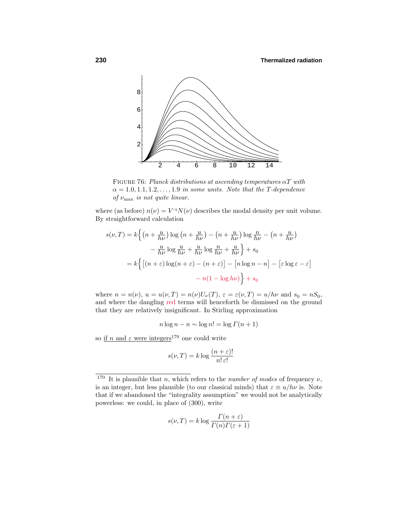

Figure 76: Planck distributions at ascending temperatures *αT* with  $\alpha = 1.0, 1.1, 1.2, \ldots, 1.9$  in some units. Note that the *T*-dependence of *ν*max is not quite linear.

where (as before)  $n(\nu) = V^{-1}N(\nu)$  describes the modal density per unit volume. By straightforward calculation

$$
s(\nu, T) = k \left\{ \left( n + \frac{u}{h\nu} \right) \log \left( n + \frac{u}{h\nu} \right) - \left( n + \frac{u}{h\nu} \right) \log \frac{n}{h\nu} - \left( n + \frac{u}{h\nu} \right) \right\}
$$

$$
- \frac{u}{h\nu} \log \frac{u}{h\nu} + \frac{u}{h\nu} \log \frac{n}{h\nu} + \frac{u}{h\nu} \right\} + s_0
$$

$$
= k \left\{ \left[ \left( n + \varepsilon \right) \log \left( n + \varepsilon \right) - \left( n + \varepsilon \right) \right] - \left[ n \log n - n \right] - \left[ \varepsilon \log \varepsilon - \varepsilon \right] \right\}
$$

$$
- n (1 - \log h\nu) \right\} + s_0
$$

where  $n = n(\nu)$ ,  $u = u(\nu, T) = n(\nu)U_{\nu}(T)$ ,  $\varepsilon = \varepsilon(\nu, T) = u/h\nu$  and  $s_0 = nS_0$ , and where the dangling red terms will henceforth be dismissed on the ground that they are relatively insignificant. In Stirling approximation

$$
n\log n - n \sim \log n! = \log \Gamma(n+1)
$$

so if  $n$  and  $\varepsilon$  were integers<sup>170</sup> one could write

$$
s(\nu, T) = k \log \frac{(n + \varepsilon)!}{n! \, \varepsilon!}
$$

$$
s(\nu, T) = k \log \frac{\Gamma(n + \varepsilon)}{\Gamma(n)\Gamma(\varepsilon + 1)}
$$

<sup>&</sup>lt;sup>170</sup> It is plausible that *n*, which refers to the *number of modes* of frequency  $\nu$ , is an integer, but less plausible (to our classical minds) that  $\varepsilon \equiv u/h\nu$  is. Note that if we abandoned the "integrality assumption" we would not be analytically powerless: we could, in place of (300), write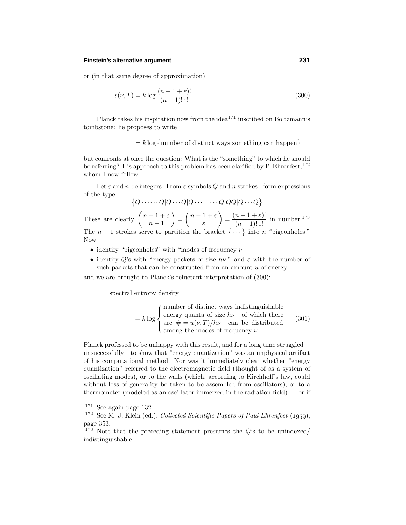### **Einstein's alternative argument 231**

or (in that same degree of approximation)

$$
s(\nu, T) = k \log \frac{(n - 1 + \varepsilon)!}{(n - 1)!\,\varepsilon!} \tag{300}
$$

Planck takes his inspiration now from the idea<sup>171</sup> inscribed on Boltzmann's tombstone: he proposes to write

### $= k \log \{ \text{number of distinct ways something can happen} \}$

but confronts at once the question: What is the "something" to which he should be referring? His approach to this problem has been clarified by  $P$ . Ehrenfest,  $172$ whom I now follow:

Let  $\varepsilon$  and  $n$  be integers. From  $\varepsilon$  symbols  $Q$  and  $n$  strokes | form expressions of the type

$$
\{Q \cdot \cdots \cdot Q | Q \cdots Q | Q \cdots \cdots Q | QQ | Q \cdots Q\}
$$

These are clearly  $\binom{n-1+\varepsilon}{n-1}$ *n* − 1  $= \left( \begin{array}{c} n-1+\varepsilon \\ 0 \end{array} \right)$ *ε*  $=\frac{(n-1+\varepsilon)!}{(n-1)!\,\varepsilon!}$  in number.<sup>173</sup> The  $n-1$  strokes serve to partition the bracket  $\{\cdots\}$  into *n* "pigeonholes." Now

- identify "pigeonholes" with "modes of frequency *ν*
- identify  $Q$ 's with "energy packets of size  $h\nu$ ," and  $\varepsilon$  with the number of such packets that can be constructed from an amount *u* of energy

and we are brought to Planck's reluctant interpretation of (300):

spectral entropy density

$$
= k \log \begin{cases} \text{number of distinct ways indistinguishable} \\ \text{energy quanta of size } h\nu \text{—of which there} \\ \text{are } # = u(\nu, T)/h\nu \text{—can be distributed} \\ \text{among the modes of frequency } \nu \end{cases} \tag{301}
$$

Planck professed to be unhappy with this result, and for a long time struggled unsuccessfully—to show that "energy quantization" was an unphysical artifact of his computational method. Nor was it immediately clear whether "energy quantization" referred to the electromagnetic field (thought of as a system of oscillating modes), or to the walls (which, according to Kirchhoff's law, could without loss of generality be taken to be assembled from oscillators), or to a thermometer (modeled as an oscillator immersed in the radiation field) *...* or if

<sup>171</sup> See again page 132.

 $172$  See M. J. Klein (ed.), Collected Scientific Papers of Paul Ehrenfest (1959), page 353.

<sup>173</sup> Note that the preceding statement presumes the *Q*'s to be unindexed/ indistinguishable.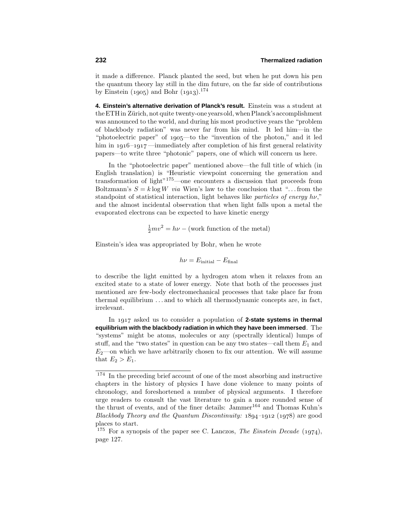it made a difference. Planck planted the seed, but when he put down his pen the quantum theory lay still in the dim future, on the far side of contributions by Einstein  $(1905)$  and Bohr  $(1913).^{174}$ 

**4. Einstein's alternative derivation of Planck's result.** Einstein was a student at the ETH in Zürich, not quite twenty-one years old, when Planck's accomplishment was announced to the world, and during his most productive years the "problem of blackbody radiation" was never far from his mind. It led him—in the "photoelectric paper" of 1905—to the "invention of the photon," and it led him in  $1916 - 1917$  —immediately after completion of his first general relativity papers—to write three "photonic" papers, one of which will concern us here.

In the "photoelectric paper" mentioned above—the full title of which (in English translation) is "Heuristic viewpoint concerning the generation and transformation of light"175—one encounters a discussion that proceeds from Boltzmann's  $S = k \log W$  via Wien's law to the conclusion that "... from the standpoint of statistical interaction, light behaves like particles of energy *hν*," and the almost incidental observation that when light falls upon a metal the evaporated electrons can be expected to have kinetic energy

$$
\frac{1}{2}mv^2 = h\nu - \text{(work function of the metal)}
$$

Einstein's idea was appropriated by Bohr, when he wrote

$$
h\nu = E_{\text{initial}} - E_{\text{final}}
$$

to describe the light emitted by a hydrogen atom when it relaxes from an excited state to a state of lower energy. Note that both of the processes just mentioned are few-body electromechanical processes that take place far from thermal equilibrium *...* and to which all thermodynamic concepts are, in fact, irrelevant.

In 1917 asked us to consider a population of **2-state systems in thermal equilibrium with the blackbody radiation in which they have been immersed**. The "systems" might be atoms, molecules or any (spectrally identical) lumps of stuff, and the "two states" in question can be any two states—call them  $E_1$  and  $E_2$ —on which we have arbitrarily chosen to fix our attention. We will assume that  $E_2 > E_1$ .

<sup>&</sup>lt;sup>174</sup> In the preceding brief account of one of the most absorbing and instructive chapters in the history of physics I have done violence to many points of chronology, and foreshortened a number of physical arguments. I therefore urge readers to consult the vast literature to gain a more rounded sense of the thrust of events, and of the finer details: Jammer<sup>164</sup> and Thomas Kuhn's Blackbody Theory and the Quantum Discontinuity:  $1894-1912$  (1978) are good places to start.

<sup>&</sup>lt;sup>175</sup> For a synopsis of the paper see C. Lanczos, *The Einstein Decade* (1974), page 127.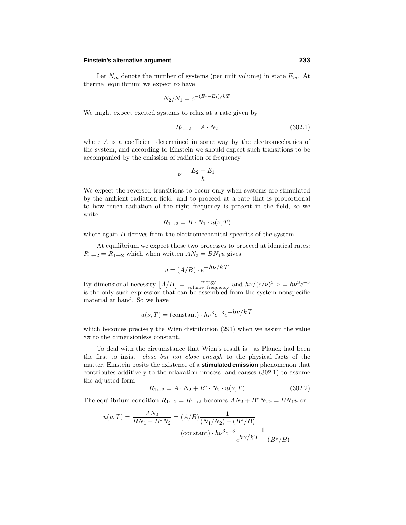## **Einstein's alternative argument 233**

Let  $N_m$  denote the number of systems (per unit volume) in state  $E_m$ . At thermal equilibrium we expect to have

$$
N_2/N_1 = e^{-(E_2 - E_1)/kT}
$$

We might expect excited systems to relax at a rate given by

$$
R_{1 \leftarrow 2} = A \cdot N_2 \tag{302.1}
$$

where *A* is a coefficient determined in some way by the electromechanics of the system, and according to Einstein we should expect such transitions to be accompanied by the emission of radiation of frequency

$$
\nu = \frac{E_2 - E_1}{h}
$$

We expect the reversed transitions to occur only when systems are stimulated by the ambient radiation field, and to proceed at a rate that is proportional to how much radiation of the right frequency is present in the field, so we write

$$
R_{1\rightarrow 2} = B \cdot N_1 \cdot u(\nu, T)
$$

where again *B* derives from the electromechanical specifics of the system.

At equilibrium we expect those two processes to proceed at identical rates:  $R_{1 \leftarrow 2} = R_{1 \rightarrow 2}$  which when written  $AN_2 = BN_1u$  gives

$$
u = (A/B) \cdot e^{-h\nu/k}T
$$

By dimensional necessity  $[A/B] = \frac{\text{energy}}{\text{volume frequency}}$  and  $h\nu/(c/\nu)^3 \cdot \nu = h\nu^3 c^{-3}$  is the only such expression that can be assembled from the system-nonspecific material at hand. So we have

$$
u(\nu, T) = (constant) \cdot h\nu^3 c^{-3} e^{-h\nu/kT}
$$

which becomes precisely the Wien distribution (291) when we assign the value  $8\pi$  to the dimensionless constant.

To deal with the circumstance that Wien's result is—as Planck had been the first to insist—close but not close enough to the physical facts of the matter, Einstein posits the existence of a **stimulated emission** phenomenon that contributes additively to the relaxation process, and causes (302.1) to assume the adjusted form

$$
R_{1 \leftarrow 2} = A \cdot N_2 + B^* \cdot N_2 \cdot u(\nu, T) \tag{302.2}
$$

The equilibrium condition  $R_{1 \leftarrow 2} = R_{1 \rightarrow 2}$  becomes  $AN_2 + B^*N_2u = BN_1u$  or

$$
u(\nu, T) = \frac{AN_2}{BN_1 - B^*N_2} = (A/B)\frac{1}{(N_1/N_2) - (B^*/B)}
$$
  
= (constant) \cdot hv<sup>3</sup>c<sup>-3</sup>  $\frac{1}{e^{h\nu/kT} - (B^*/B)}$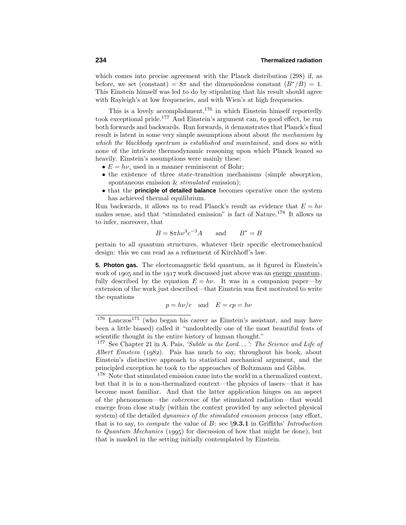which comes into precise agreement with the Planck distribution (298) if, as before, we set (constant) =  $8\pi$  and the dimensionless constant  $(B^*/B) = 1$ . This Einstein himself was led to do by stipulating that his result should agree with Rayleigh's at low frequencies, and with Wien's at high frequencies.

This is a lovely accomplishment,  $176$  in which Einstein himself reportedly took exceptional pride.<sup>177</sup> And Einstein's argument can, to good effect, be run both forwards and backwards. Run forwards, it demonstrates that Planck's final result is latent in some very simple assumptions about about the mechanism by which the blackbody spectrum is established and maintained, and does so with none of the intricate thermodynamic reasoning upon which Planck leaned so heavily. Einstein's assumptions were mainly these:

- $E = h\nu$ , used in a manner reminiscent of Bohr;
- the existence of three state-transition mechanisms (simple absorption, spontaneous emission & *stimulated* emission);
- that the **principle of detailed balance** becomes operative once the system has achieved thermal equilibrium.

Run backwards, it allows us to read Planck's result as evidence that  $E = h\nu$ makes sense, and that "stimulated emission" is fact of Nature.<sup>178</sup> It allows us to infer, moreover, that

$$
B = 8\pi h\nu^3 c^{-3} A \qquad \text{and} \qquad B^* = B
$$

pertain to all quantum structures, whatever their specific electromechanical design: this we can read as a refinement of Kirchhoff's law.

**5. Photon gas.** The electromagnetic field quantum, as it figured in Einstein's work of  $1905$  and in the  $1917$  work discussed just above was an energy quantum, fully described by the equation  $E = h\nu$ . It was in a companion paper—by extension of the work just described—that Einstein was first motivated to write the equations

$$
p = h\nu/c
$$
 and  $E = cp = h\nu$ 

 $176$  Lanczos<sup>175</sup> (who began his career as Einstein's assistant, and may have been a little biased) called it "undoubtedly one of the most beautiful feats of scientific thought in the entire history of human thought."

<sup>177</sup> See Chapter 21 in A. Pais, 'Subtle is the Lord*...* ': The Science and Life of Albert Einstein  $(1982)$ . Pais has much to say, throughout his book, about Einstein's distinctive approach to statistical mechanical argument, and the principled exception he took to the approaches of Boltzmann and Gibbs.

<sup>&</sup>lt;sup>178</sup> Note that stimulated emission came into the world in a thermalized context, but that it is in a non-thermalized context—the physics of lasers—that it has become most familiar. And that the latter application hinges on an aspect of the phenomenon—the coherence of the stimulated radiation—that would emerge from close study (within the context provided by any selected physical system) of the detailed *dynamics of the stimulated emission process* (any effort, that is to say, to *compute* the value of  $B$ : see  $\S$ **9.3.1** in Griffiths' *Introduction* to Quantum Mechanics (1995) for discussion of how that might be done), but that is masked in the setting initially contemplated by Einstein.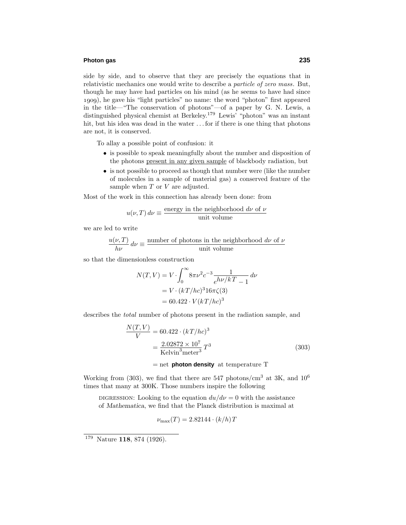## **Photon gas 235**

side by side, and to observe that they are precisely the equations that in relativistic mechanics one would write to describe a particle of zero mass. But, though he may have had particles on his mind (as he seems to have had since ), he gave his "light particles" no name: the word "photon" first appeared in the title—"The conservation of photons"—of a paper by G. N. Lewis, a distinguished physical chemist at Berkeley.<sup>179</sup> Lewis<sup>'</sup> "photon" was an instant hit, but his idea was dead in the water *...* for if there is one thing that photons are not, it is conserved.

To allay a possible point of confusion: it

- is possible to speak meaningfully about the number and disposition of the photons present in any given sample of blackbody radiation, but
- is not possible to proceed as though that number were (like the number of molecules in a sample of material gas) a conserved feature of the sample when *T* or *V* are adjusted.

Most of the work in this connection has already been done: from

$$
u(\nu, T) d\nu \equiv \frac{\text{energy in the neighborhood } d\nu \text{ of } \nu}{\text{unit volume}}
$$

we are led to write

$$
\frac{u(\nu,T)}{h\nu} d\nu \equiv \frac{\text{number of photons in the neighborhood } d\nu \text{ of } \nu}{\text{unit volume}}
$$

so that the dimensionless construction

$$
N(T,V) = V \cdot \int_0^\infty 8\pi \nu^2 c^{-3} \frac{1}{e^{h\nu/kT} - 1} d\nu
$$
  
=  $V \cdot (kT/hc)^3 16\pi \zeta(3)$   
=  $60.422 \cdot V(kT/hc)^3$ 

describes the total number of photons present in the radiation sample, and

$$
\frac{N(T,V)}{V} = 60.422 \cdot (kT/hc)^3
$$

$$
= \frac{2.02872 \times 10^7}{\text{Kelvin}^3 \text{ meter}^3} T^3
$$
(303)

= net **photon density** at temperature T

Working from (303), we find that there are 547 photons/ $\text{cm}^3$  at 3K, and 10<sup>6</sup> times that many at 300K. Those numbers inspire the following

DIGRESSION: Looking to the equation  $du/d\nu = 0$  with the assistance of *Mathematica*, we find that the Planck distribution is maximal at

$$
\nu_{\text{max}}(T) = 2.82144 \cdot (k/h) T
$$

<sup>179</sup> Nature **118**, 874 (1926).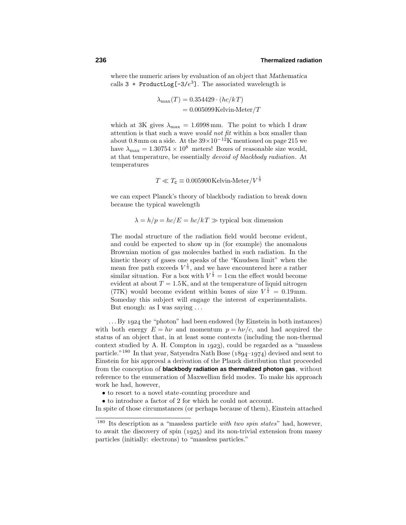where the numeric arises by evaluation of an object that *Mathematica* calls  $3 +$  ProductLog[ $-3/e<sup>3</sup>$ ]. The associated wavelength is

$$
\lambda_{\text{max}}(T) = 0.354429 \cdot (hc/kT)
$$

$$
= 0.005099 \,\text{Kelvin-Meter}/T
$$

which at 3K gives  $\lambda_{\text{max}} = 1.6998 \text{ mm}$ . The point to which I draw attention is that such a wave would not fit within a box smaller than about 0.8mm on a side. At the  $39\times10^{-12}$ K mentioned on page 215 we have  $\lambda_{\text{max}} = 1.30754 \times 10^8$  meters! Boxes of reasonable size would, at that temperature, be essentially *devoid of blackbody radiation*. At temperatures

$$
T \ll T_{\rm c} \equiv 0.005900 \,\text{Kelvin-Meter}/V^{\frac{1}{3}}
$$

we can expect Planck's theory of blackbody radiation to break down because the typical wavelength

$$
\lambda = h/p = hc/E = hc/kT \gg
$$
typical box dimension

The modal structure of the radiation field would become evident, and could be expected to show up in (for example) the anomalous Brownian motion of gas molecules bathed in such radiation. In the kinetic theory of gases one speaks of the "Knudsen limit" when the mean free path exceeds  $V^{\frac{1}{3}}$ , and we have encountered here a rather similar situation. For a box with  $V^{\frac{1}{3}} = 1$  cm the effect would become evident at about  $T = 1.5K$ , and at the temperature of liquid nitrogen (77K) would become evident within boxes of size  $V^{\frac{1}{3}} = 0.19$  mm. Someday this subject will engage the interest of experimentalists. But enough: as I was saying *...*

... By 1924 the "photon" had been endowed (by Einstein in both instances) with both energy  $E = h\nu$  and momentum  $p = h\nu/c$ , and had acquired the status of an object that, in at least some contexts (including the non-thermal context studied by A. H. Compton in  $1923$ , could be regarded as a "massless" particle."<sup>180</sup> In that year, Satyendra Nath Bose  $(1894-1974)$  devised and sent to Einstein for his approval a derivation of the Planck distribution that proceeded from the conception of **blackbody radiation as thermalized photon gas**, without reference to the enumeration of Maxwellian field modes. To make his approach work he had, however,

- to resort to a novel state-counting procedure and
- to introduce a factor of 2 for which he could not account.

In spite of those circumstances (or perhaps because of them), Einstein attached

<sup>180</sup> Its description as a "massless particle with two spin states" had, however, to await the discovery of spin  $(1925)$  and its non-trivial extension from massy particles (initially: electrons) to "massless particles."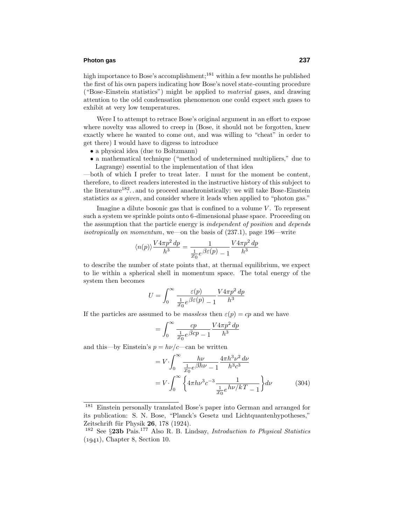## **Photon gas 237**

high importance to Bose's accomplishment;<sup>181</sup> within a few months he published the first of his own papers indicating how Bose's novel state-counting procedure ("Bose-Einstein statistics") might be applied to material gases, and drawing attention to the odd condensation phenomenon one could expect such gases to exhibit at very low temperatures.

Were I to attempt to retrace Bose's original argument in an effort to expose where novelty was allowed to creep in (Bose, it should not be forgotten, knew exactly where he wanted to come out, and was willing to "cheat" in order to get there) I would have to digress to introduce

- a physical idea (due to Boltzmann)
- a mathematical technique ("method of undetermined multipliers," due to Lagrange) essential to the implementation of that idea

—both of which I prefer to treat later. I must for the moment be content, therefore, to direct readers interested in the instructive history of this subject to the literature<sup>182</sup> $\ldots$  and to proceed anachronistically: we will take Bose-Einstein statistics as a given, and consider where it leads when applied to "photon gas."

Imagine a dilute bosonic gas that is confined to a volume  $V$ . To represent such a system we sprinkle points onto 6-dimensional phase space. Proceeding on the assumption that the particle energy is *independent of position* and *depends* isotropically on momentum, we—on the basis of (237.1), page 196—write

$$
\langle n(p) \rangle \frac{V 4\pi p^2 dp}{h^3} = \frac{1}{\frac{1}{x_0} e^{\beta \varepsilon(p)} - 1} \frac{V 4\pi p^2 dp}{h^3}
$$

to describe the number of state points that, at thermal equilibrium, we expect to lie within a spherical shell in momentum space. The total energy of the system then becomes

$$
U = \int_0^\infty \frac{\varepsilon(p)}{\frac{1}{x_0} e^{\beta \varepsilon(p)} - 1} \frac{V 4\pi p^2 dp}{h^3}
$$

If the particles are assumed to be *massless* then  $\varepsilon(p) = cp$  and we have

$$
= \int_0^\infty \frac{cp}{\frac{1}{x_0}e^{\beta cp} - 1} \frac{V4\pi p^2 dp}{h^3}
$$

and this—by Einstein's  $p = h\nu/c$ —can be written

$$
= V \cdot \int_0^\infty \frac{h\nu}{\frac{1}{x_0} e^{\beta h\nu} - 1} \frac{4\pi h^3 \nu^2 d\nu}{h^3 c^3}
$$

$$
= V \cdot \int_0^\infty \left\{ 4\pi h \nu^3 c^{-3} \frac{1}{\frac{1}{x_0} e^{h\nu/k} T - 1} \right\} d\nu \tag{304}
$$

Einstein personally translated Bose's paper into German and arranged for its publication: S. N. Bose, "Planck's Gesetz und Lichtquantenhypotheses," Zeitschrift für Physik **26**, 178 (1924).

<sup>182</sup> See §**23b** Pais.<sup>177</sup> Also R. B. Lindsay, Introduction to Physical Statistics  $(1941)$ , Chapter 8, Section 10.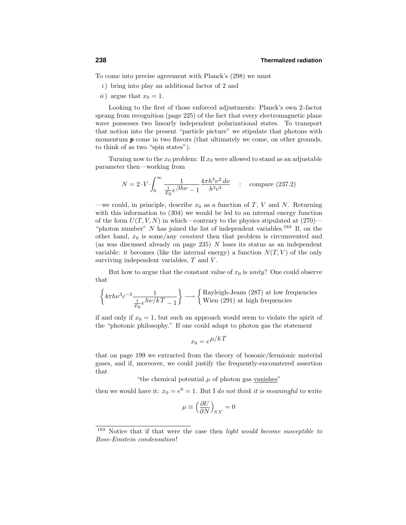To come into precise agreement with Planck's (298) we must

- $i)$  bring into play an additional factor of 2 and
- ii) argue that  $x_0 = 1$ .

Looking to the first of those enforced adjustments: Planck's own 2-factor sprang from recognition (page 225) of the fact that every electromagnetic plane wave possesses two linearly independent polarizational states. To transport that notion into the present "particle picture" we stipulate that photons with momentum **p** come in two flavors (that ultimately we come, on other grounds, to think of as two "spin states").

Turning now to the  $x_0$  problem: If  $x_0$  were allowed to stand as an adjustable parameter then—working from

$$
N = 2 \cdot V \cdot \int_0^\infty \frac{1}{\frac{1}{x_0} e^{\beta h \nu} - 1} \frac{4 \pi h^3 \nu^2 d\nu}{h^3 c^3} \quad : \quad \text{compare (237.2)}
$$

—we could, in principle, describe  $x_0$  as a function of *T*, *V* and *N*. Returning with this information to (304) we would be led to an internal energy function of the form  $U(T, V, N)$  in which—contrary to the physics stipulated at  $(270)$ — "photon number"  $N$  has joined the list of independent variables.<sup>183</sup> If, on the other hand,  $x_0$  is some/any *constant* then that problem is circumvented and (as was discussed already on page 235) *N* loses its status as an independent variable: it becomes (like the internal energy) a function  $N(T, V)$  of the only surviving independent variables, *T* and *V* .

But how to argue that the constant value of  $x_0$  is *unity*? One could observe that

$$
\left\{ 4\pi h\nu^3 c^{-3} \frac{1}{\frac{1}{x_0} e^{h\nu/kT} - 1} \right\} \longrightarrow \left\{ \begin{array}{l} \text{Rayleigh-Jeans (287) at low frequencies} \\ \text{Wien (291) at high frequencies} \end{array} \right.
$$

if and only if  $x_0 = 1$ , but such an approach would seem to violate the spirit of the "photonic philosophy." If one could adapt to photon gas the statement

$$
x_0 = e^{\mu/k}
$$

that on page 199 we extracted from the theory of bosonic/fermionic material gases, and if, moreover, we could justify the frequently-encountered assertion that

"the chemical potential  $\mu$  of photon gas vanishes"

then we would have it:  $x_0 = e^0 = 1$ . But I do not think it is meaningful to write

$$
\mu \equiv \left(\frac{\partial U}{\partial N}\right)_{S,V} = 0
$$

<sup>&</sup>lt;sup>183</sup> Notice that if that were the case then *light would become susceptible to* Bose-Einstein condensation!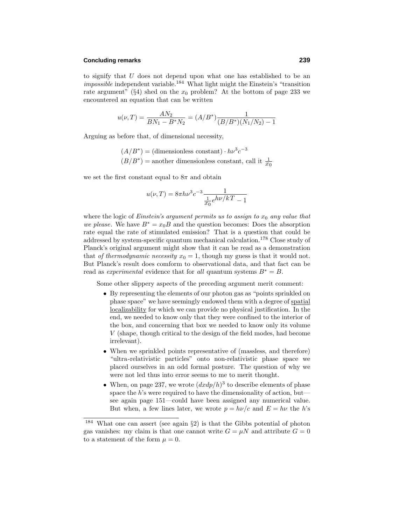## **Concluding remarks 239**

to signify that *U* does not depend upon what one has established to be an impossible independent variable.<sup>184</sup> What light might the Einstein's "transition rate argument" ( $\S$ 4) shed on the  $x_0$  problem? At the bottom of page 233 we encountered an equation that can be written

$$
u(\nu, T) = \frac{AN_2}{BN_1 - B^*N_2} = (A/B^*) \frac{1}{(B/B^*)(N_1/N_2) - 1}
$$

Arguing as before that, of dimensional necessity,

 $(A/B^*)$  = (dimensionless constant) ·  $h\nu^3 c^{-3}$  $(B/B^*)$  = another dimensionless constant, call it  $\frac{1}{x_0}$ 

we set the first constant equal to  $8\pi$  and obtain

$$
u(\nu,T) = 8\pi h \nu^3 c^{-3} \frac{1}{\frac{1}{x_0} e^{h\nu/kT} - 1}
$$

where the logic of *Einstein's argument permits us to assign to*  $x<sub>0</sub>$  *any value that* we please. We have  $B^* = x_0 B$  and the question becomes: Does the absorption rate equal the rate of stimulated emission? That is a question that could be addressed by system-specific quantum mechanical calculation.<sup>178</sup> Close study of Planck's original argument might show that it can be read as a demonstration that of thermodynamic necessity  $x_0 = 1$ , though my guess is that it would not. But Planck's result does comform to observational data, and that fact can be read as *experimental* evidence that for all quantum systems  $B^* = B$ .

Some other slippery aspects of the preceding argument merit comment:

- By representing the elements of our photon gas as "points sprinkled on phase space" we have seemingly endowed them with a degree of spatial localizability for which we can provide no physical justification. In the end, we needed to know only that they were confined to the interior of the box, and concerning that box we needed to know only its volume *V* (shape, though critical to the design of the field modes, had become irrelevant).
- When we sprinkled points representative of (massless, and therefore) "ultra-relativistic particles" onto non-relativistic phase space we placed ourselves in an odd formal posture. The question of why we were not led thus into error seems to me to merit thought.
- When, on page 237, we wrote  $\left(\frac{dx}{dp}\right)^3$  to describe elements of phase space the *h*'s were required to have the dimensionality of action, but see again page 151—could have been assigned any numerical value. But when, a few lines later, we wrote  $p = h\nu/c$  and  $E = h\nu$  the *h*'s

What one can assert (see again  $\S2$ ) is that the Gibbs potential of photon gas vanishes: my claim is that one cannot write  $G = \mu N$  and attribute  $G = 0$ to a statement of the form  $\mu = 0$ .